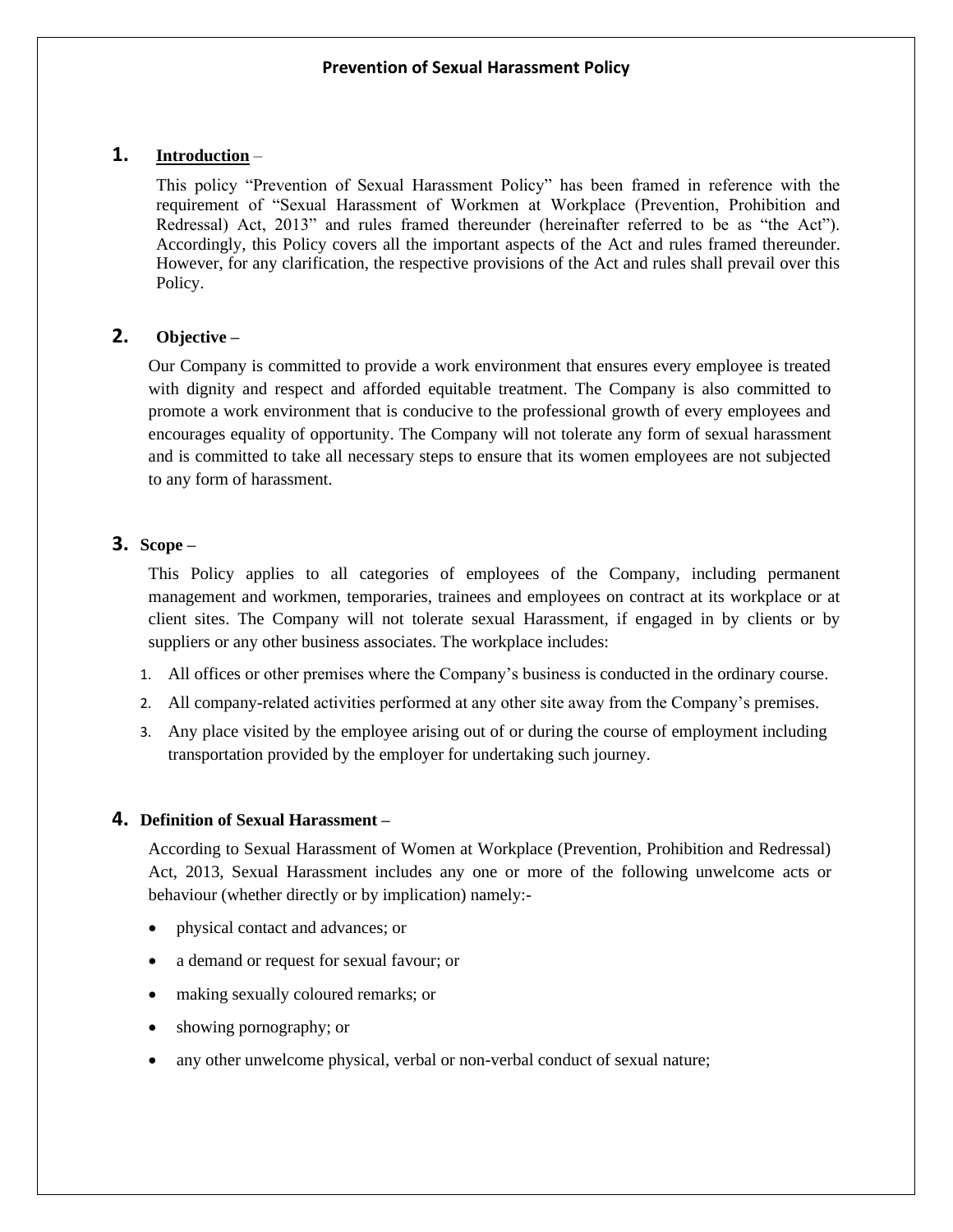# **1. Introduction** –

This policy "Prevention of Sexual Harassment Policy" has been framed in reference with the requirement of "Sexual Harassment of Workmen at Workplace (Prevention, Prohibition and Redressal) Act, 2013" and rules framed thereunder (hereinafter referred to be as "the Act"). Accordingly, this Policy covers all the important aspects of the Act and rules framed thereunder. However, for any clarification, the respective provisions of the Act and rules shall prevail over this Policy.

# **2. Objective –**

Our Company is committed to provide a work environment that ensures every employee is treated with dignity and respect and afforded equitable treatment. The Company is also committed to promote a work environment that is conducive to the professional growth of every employees and encourages equality of opportunity. The Company will not tolerate any form of sexual harassment and is committed to take all necessary steps to ensure that its women employees are not subjected to any form of harassment.

# **3. Scope –**

This Policy applies to all categories of employees of the Company, including permanent management and workmen, temporaries, trainees and employees on contract at its workplace or at client sites. The Company will not tolerate sexual Harassment, if engaged in by clients or by suppliers or any other business associates. The workplace includes:

- 1. All offices or other premises where the Company's business is conducted in the ordinary course.
- 2. All company-related activities performed at any other site away from the Company's premises.
- 3. Any place visited by the employee arising out of or during the course of employment including transportation provided by the employer for undertaking such journey.

## **4. Definition of Sexual Harassment –**

According to Sexual Harassment of Women at Workplace (Prevention, Prohibition and Redressal) Act, 2013, Sexual Harassment includes any one or more of the following unwelcome acts or behaviour (whether directly or by implication) namely:-

- physical contact and advances; or
- a demand or request for sexual favour; or
- making sexually coloured remarks; or
- showing pornography; or
- any other unwelcome physical, verbal or non-verbal conduct of sexual nature;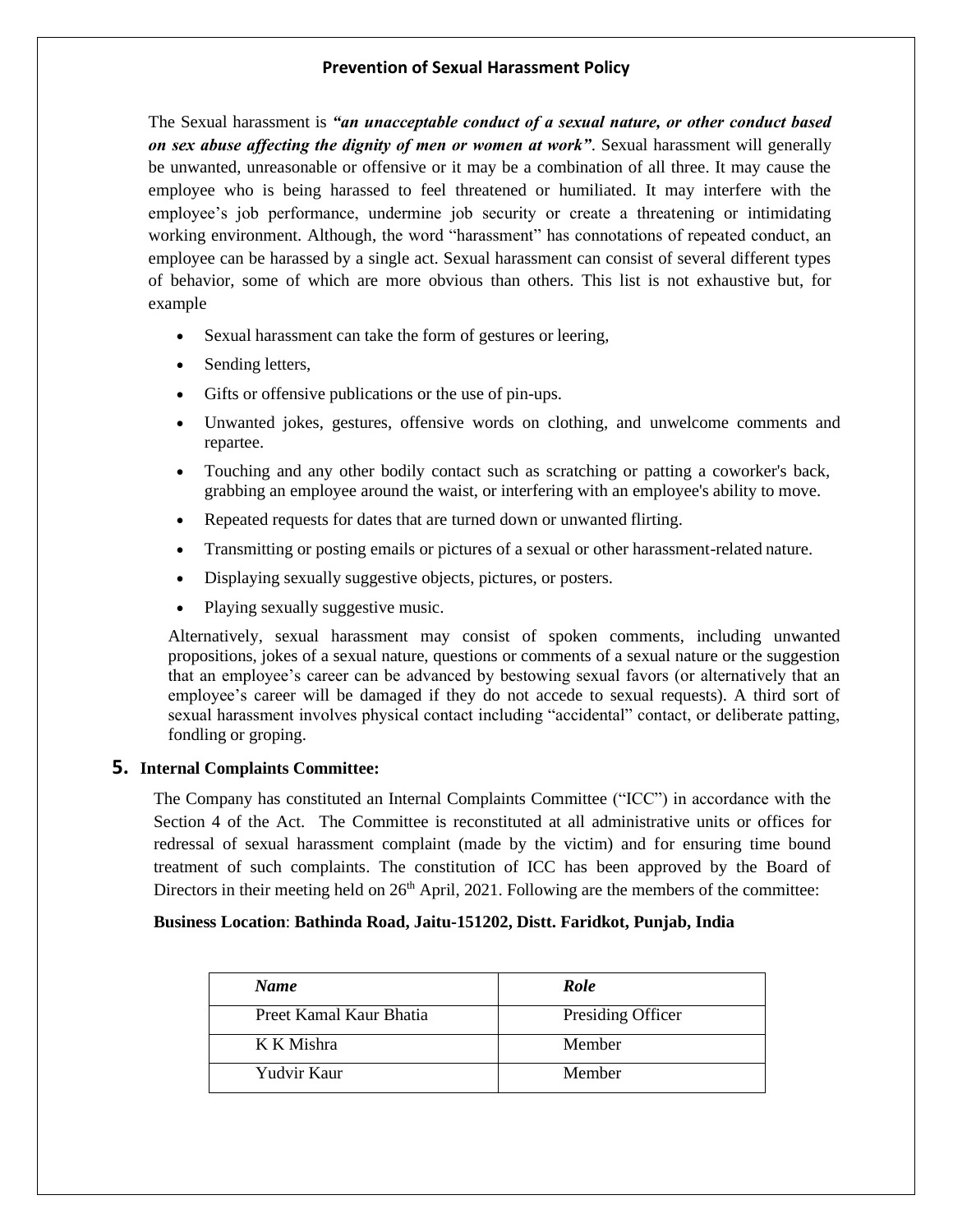The Sexual harassment is *"an unacceptable conduct of a sexual nature, or other conduct based on sex abuse affecting the dignity of men or women at work"*. Sexual harassment will generally be unwanted, unreasonable or offensive or it may be a combination of all three. It may cause the employee who is being harassed to feel threatened or humiliated. It may interfere with the employee's job performance, undermine job security or create a threatening or intimidating working environment. Although, the word "harassment" has connotations of repeated conduct, an employee can be harassed by a single act. Sexual harassment can consist of several different types of behavior, some of which are more obvious than others. This list is not exhaustive but, for example

- Sexual harassment can take the form of gestures or leering,
- Sending letters,
- Gifts or offensive publications or the use of pin-ups.
- Unwanted jokes, gestures, offensive words on clothing, and unwelcome comments and repartee.
- Touching and any other bodily contact such as scratching or patting a coworker's back, grabbing an employee around the waist, or interfering with an employee's ability to move.
- Repeated requests for dates that are turned down or unwanted flirting.
- Transmitting or posting emails or pictures of a sexual or other harassment-related nature.
- Displaying sexually suggestive objects, pictures, or posters.
- Playing sexually suggestive music.

Alternatively, sexual harassment may consist of spoken comments, including unwanted propositions, jokes of a sexual nature, questions or comments of a sexual nature or the suggestion that an employee's career can be advanced by bestowing sexual favors (or alternatively that an employee's career will be damaged if they do not accede to sexual requests). A third sort of sexual harassment involves physical contact including "accidental" contact, or deliberate patting, fondling or groping.

## **5. Internal Complaints Committee:**

The Company has constituted an Internal Complaints Committee ("ICC") in accordance with the Section 4 of the Act. The Committee is reconstituted at all administrative units or offices for redressal of sexual harassment complaint (made by the victim) and for ensuring time bound treatment of such complaints. The constitution of ICC has been approved by the Board of Directors in their meeting held on  $26<sup>th</sup>$  April, 2021. Following are the members of the committee:

## **Business Location**: **Bathinda Road, Jaitu-151202, Distt. Faridkot, Punjab, India**

| <b>Name</b>             | Role              |
|-------------------------|-------------------|
| Preet Kamal Kaur Bhatia | Presiding Officer |
| K K Mishra              | Member            |
| Yudvir Kaur             | Member            |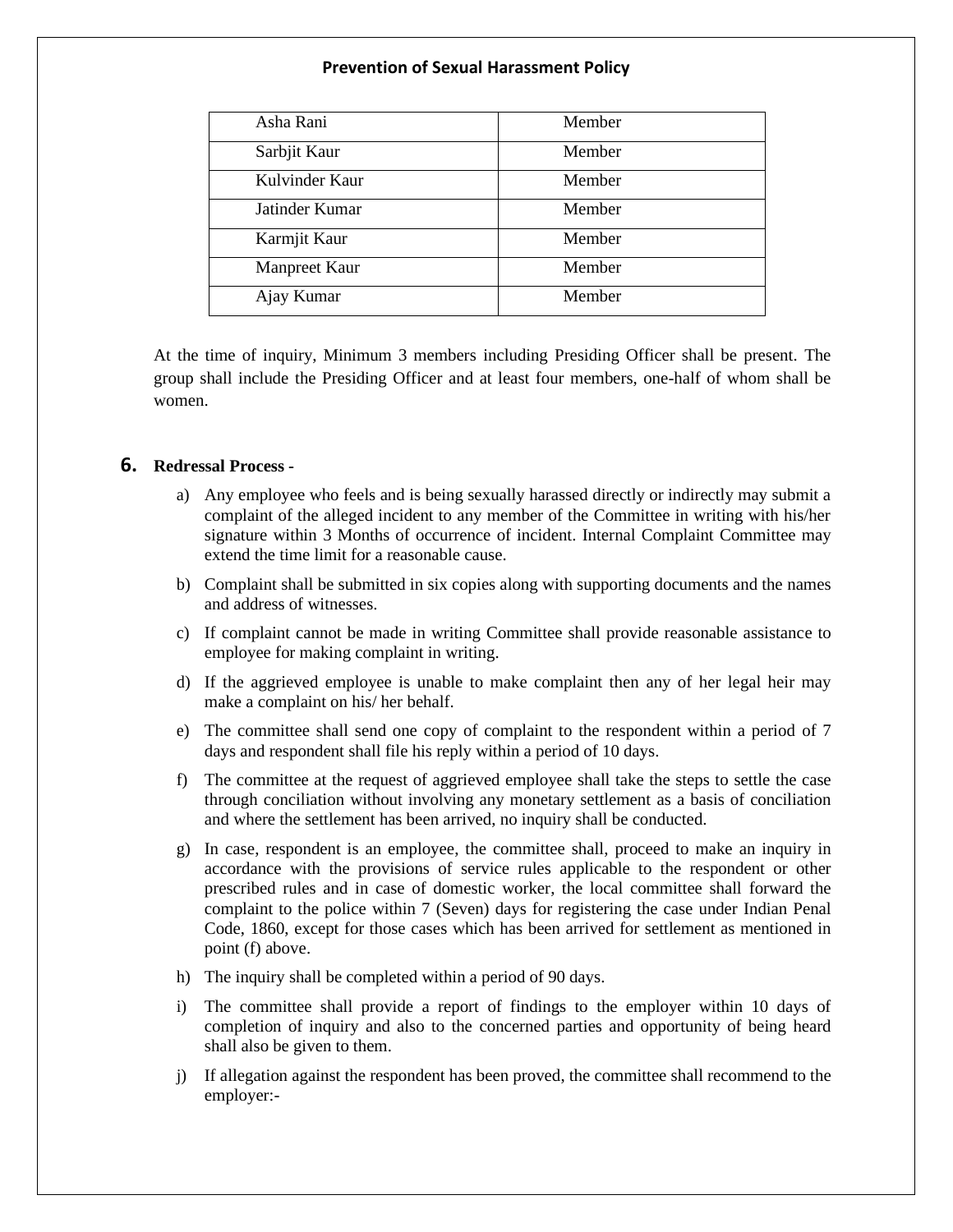| Asha Rani      | Member |
|----------------|--------|
| Sarbjit Kaur   | Member |
| Kulvinder Kaur | Member |
| Jatinder Kumar | Member |
| Karmjit Kaur   | Member |
| Manpreet Kaur  | Member |
| Ajay Kumar     | Member |

At the time of inquiry, Minimum 3 members including Presiding Officer shall be present. The group shall include the Presiding Officer and at least four members, one-half of whom shall be women.

## **6. Redressal Process -**

- a) Any employee who feels and is being sexually harassed directly or indirectly may submit a complaint of the alleged incident to any member of the Committee in writing with his/her signature within 3 Months of occurrence of incident. Internal Complaint Committee may extend the time limit for a reasonable cause.
- b) Complaint shall be submitted in six copies along with supporting documents and the names and address of witnesses.
- c) If complaint cannot be made in writing Committee shall provide reasonable assistance to employee for making complaint in writing.
- d) If the aggrieved employee is unable to make complaint then any of her legal heir may make a complaint on his/ her behalf.
- e) The committee shall send one copy of complaint to the respondent within a period of 7 days and respondent shall file his reply within a period of 10 days.
- f) The committee at the request of aggrieved employee shall take the steps to settle the case through conciliation without involving any monetary settlement as a basis of conciliation and where the settlement has been arrived, no inquiry shall be conducted.
- g) In case, respondent is an employee, the committee shall, proceed to make an inquiry in accordance with the provisions of service rules applicable to the respondent or other prescribed rules and in case of domestic worker, the local committee shall forward the complaint to the police within 7 (Seven) days for registering the case under Indian Penal Code, 1860, except for those cases which has been arrived for settlement as mentioned in point (f) above.
- h) The inquiry shall be completed within a period of 90 days.
- i) The committee shall provide a report of findings to the employer within 10 days of completion of inquiry and also to the concerned parties and opportunity of being heard shall also be given to them.
- j) If allegation against the respondent has been proved, the committee shall recommend to the employer:-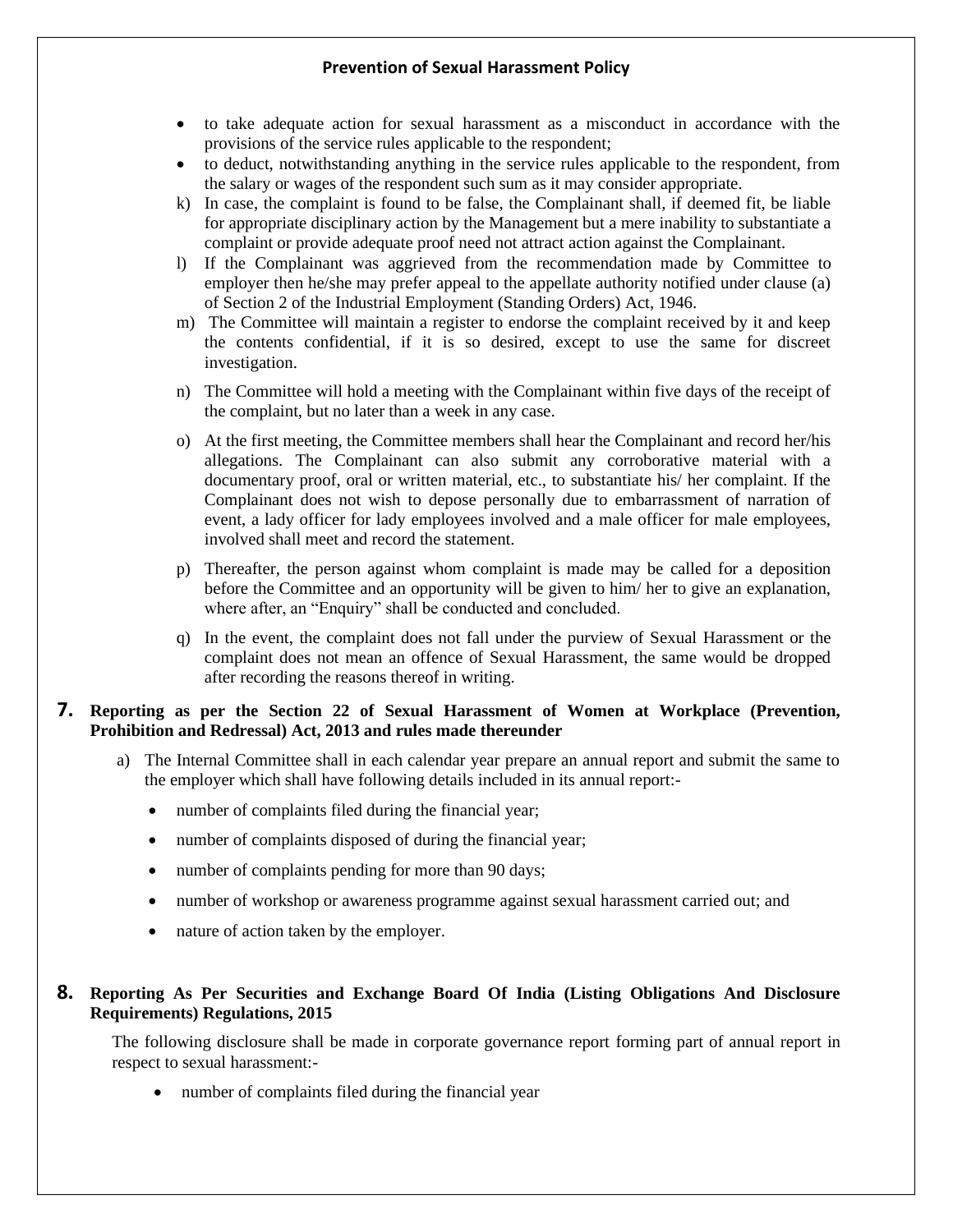- to take adequate action for sexual harassment as a misconduct in accordance with the provisions of the service rules applicable to the respondent;
- to deduct, notwithstanding anything in the service rules applicable to the respondent, from the salary or wages of the respondent such sum as it may consider appropriate.
- k) In case, the complaint is found to be false, the Complainant shall, if deemed fit, be liable for appropriate disciplinary action by the Management but a mere inability to substantiate a complaint or provide adequate proof need not attract action against the Complainant.
- l) If the Complainant was aggrieved from the recommendation made by Committee to employer then he/she may prefer appeal to the appellate authority notified under clause (a) of Section 2 of the Industrial Employment (Standing Orders) Act, 1946.
- m) The Committee will maintain a register to endorse the complaint received by it and keep the contents confidential, if it is so desired, except to use the same for discreet investigation.
- n) The Committee will hold a meeting with the Complainant within five days of the receipt of the complaint, but no later than a week in any case.
- o) At the first meeting, the Committee members shall hear the Complainant and record her/his allegations. The Complainant can also submit any corroborative material with a documentary proof, oral or written material, etc., to substantiate his/ her complaint. If the Complainant does not wish to depose personally due to embarrassment of narration of event, a lady officer for lady employees involved and a male officer for male employees, involved shall meet and record the statement.
- p) Thereafter, the person against whom complaint is made may be called for a deposition before the Committee and an opportunity will be given to him/ her to give an explanation, where after, an "Enquiry" shall be conducted and concluded.
- q) In the event, the complaint does not fall under the purview of Sexual Harassment or the complaint does not mean an offence of Sexual Harassment, the same would be dropped after recording the reasons thereof in writing.

# **7. Reporting as per the Section 22 of Sexual Harassment of Women at Workplace (Prevention, Prohibition and Redressal) Act, 2013 and rules made thereunder**

- a) The Internal Committee shall in each calendar year prepare an annual report and submit the same to the employer which shall have following details included in its annual report:
	- number of complaints filed during the financial year;
	- number of complaints disposed of during the financial year;
	- number of complaints pending for more than 90 days;
	- number of workshop or awareness programme against sexual harassment carried out; and
	- nature of action taken by the employer.

## **8. Reporting As Per Securities and Exchange Board Of India (Listing Obligations And Disclosure Requirements) Regulations, 2015**

The following disclosure shall be made in corporate governance report forming part of annual report in respect to sexual harassment:-

• number of complaints filed during the financial year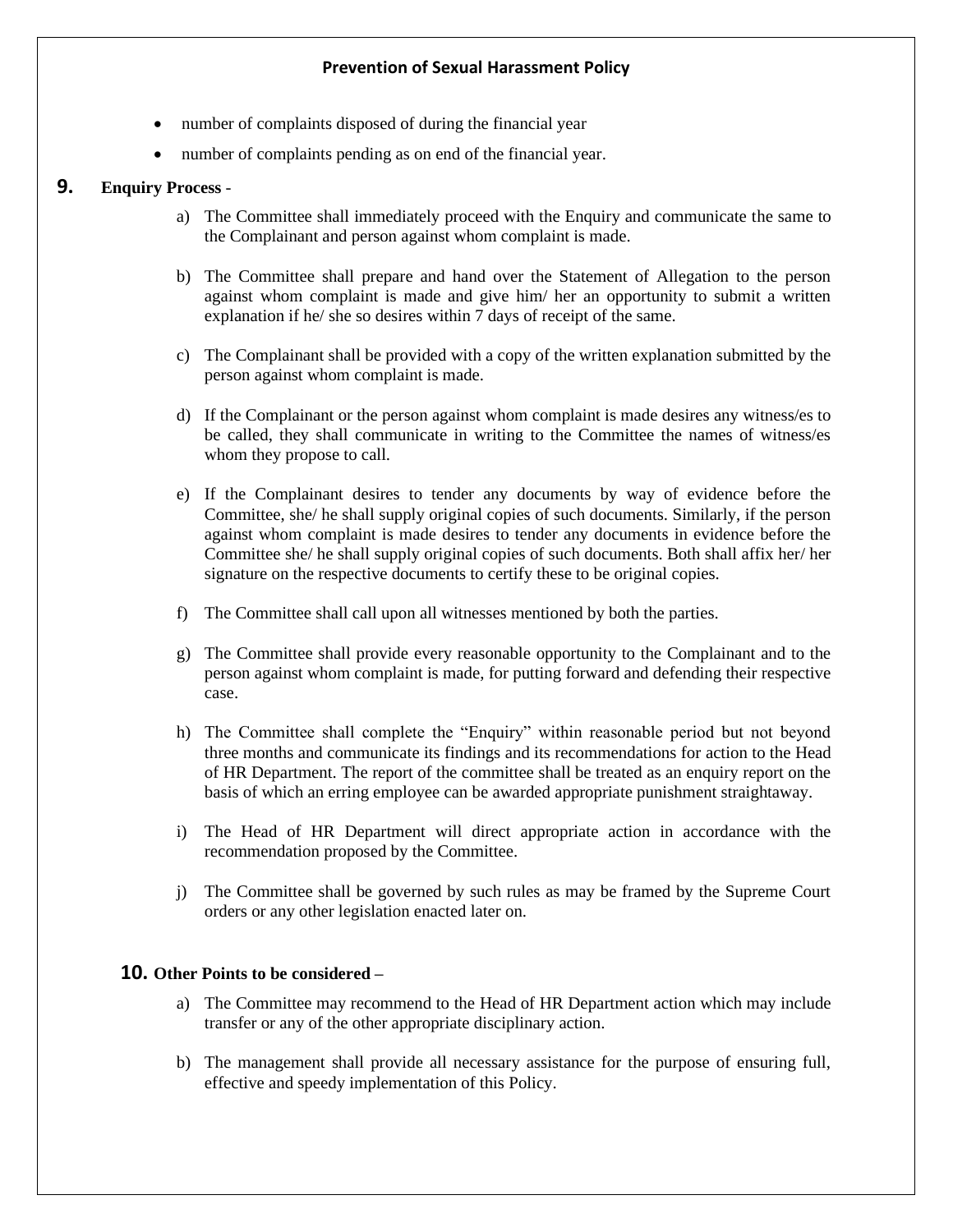- number of complaints disposed of during the financial year
- number of complaints pending as on end of the financial year.

# **9. Enquiry Process** -

- a) The Committee shall immediately proceed with the Enquiry and communicate the same to the Complainant and person against whom complaint is made.
- b) The Committee shall prepare and hand over the Statement of Allegation to the person against whom complaint is made and give him/ her an opportunity to submit a written explanation if he/ she so desires within 7 days of receipt of the same.
- c) The Complainant shall be provided with a copy of the written explanation submitted by the person against whom complaint is made.
- d) If the Complainant or the person against whom complaint is made desires any witness/es to be called, they shall communicate in writing to the Committee the names of witness/es whom they propose to call.
- e) If the Complainant desires to tender any documents by way of evidence before the Committee, she/ he shall supply original copies of such documents. Similarly, if the person against whom complaint is made desires to tender any documents in evidence before the Committee she/ he shall supply original copies of such documents. Both shall affix her/ her signature on the respective documents to certify these to be original copies.
- f) The Committee shall call upon all witnesses mentioned by both the parties.
- g) The Committee shall provide every reasonable opportunity to the Complainant and to the person against whom complaint is made, for putting forward and defending their respective case.
- h) The Committee shall complete the "Enquiry" within reasonable period but not beyond three months and communicate its findings and its recommendations for action to the Head of HR Department. The report of the committee shall be treated as an enquiry report on the basis of which an erring employee can be awarded appropriate punishment straightaway.
- i) The Head of HR Department will direct appropriate action in accordance with the recommendation proposed by the Committee.
- j) The Committee shall be governed by such rules as may be framed by the Supreme Court orders or any other legislation enacted later on.

## **10. Other Points to be considered –**

- a) The Committee may recommend to the Head of HR Department action which may include transfer or any of the other appropriate disciplinary action.
- b) The management shall provide all necessary assistance for the purpose of ensuring full, effective and speedy implementation of this Policy.